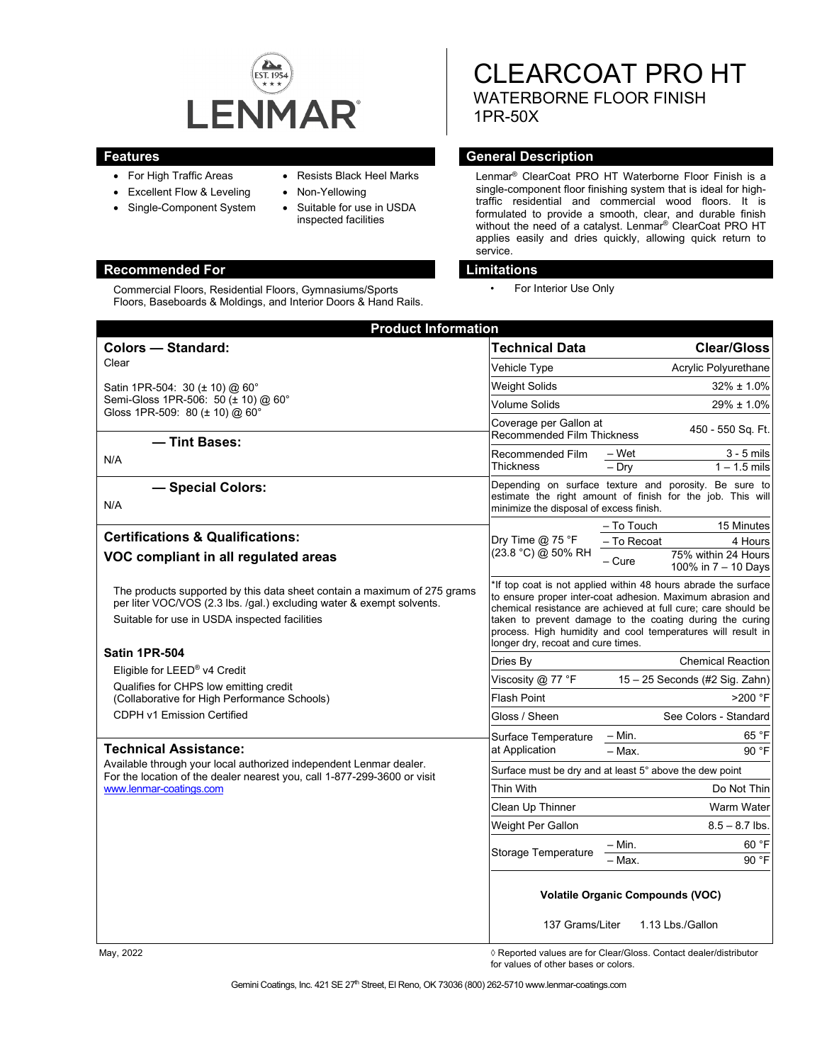

- For High Traffic Areas
- Excellent Flow & Leveling
- Single-Component System
- Resists Black Heel Marks • Non-Yellowing
- - Suitable for use in USDA inspected facilities

# **Recommended For Limitations**

Commercial Floors, Residential Floors, Gymnasiums/Sports Floors, Baseboards & Moldings, and Interior Doors & Hand Rails. CLEARCOAT PRO HT WATERBORNE FLOOR FINISH 1PR-50X

### **Features General Description**

Lenmar® ClearCoat PRO HT Waterborne Floor Finish is a single-component floor finishing system that is ideal for hightraffic residential and commercial wood floors. It is formulated to provide a smooth, clear, and durable finish without the need of a catalyst. Lenmar ® ClearCoat PRO HT applies easily and dries quickly, allowing quick return to service.

• For Interior Use Only

| <b>Product Information</b>                                                                                                                                                                         |                                                                                                                                                                                                                                                                                                                                                               |                                                                                                                     |
|----------------------------------------------------------------------------------------------------------------------------------------------------------------------------------------------------|---------------------------------------------------------------------------------------------------------------------------------------------------------------------------------------------------------------------------------------------------------------------------------------------------------------------------------------------------------------|---------------------------------------------------------------------------------------------------------------------|
| <b>Colors - Standard:</b>                                                                                                                                                                          | <b>Technical Data</b>                                                                                                                                                                                                                                                                                                                                         | <b>Clear/Gloss</b>                                                                                                  |
| Clear                                                                                                                                                                                              | Vehicle Type                                                                                                                                                                                                                                                                                                                                                  | Acrylic Polyurethane                                                                                                |
| Satin 1PR-504: 30 (± 10) @ 60°<br>Semi-Gloss 1PR-506: 50 (± 10) @ 60°<br>Gloss 1PR-509: 80 (± 10) @ 60°<br>- Tint Bases:                                                                           | Weight Solids                                                                                                                                                                                                                                                                                                                                                 | $32\% \pm 1.0\%$                                                                                                    |
|                                                                                                                                                                                                    | Volume Solids                                                                                                                                                                                                                                                                                                                                                 | 29% ± 1.0%                                                                                                          |
|                                                                                                                                                                                                    | Coverage per Gallon at<br><b>Recommended Film Thickness</b>                                                                                                                                                                                                                                                                                                   | 450 - 550 Sq. Ft.                                                                                                   |
| N/A                                                                                                                                                                                                | Recommended Film<br>Thickness                                                                                                                                                                                                                                                                                                                                 | $3 - 5$ mils<br>– Wet<br>$-$ Dry<br>$1 - 1.5$ mils                                                                  |
| - Special Colors:<br>N/A                                                                                                                                                                           |                                                                                                                                                                                                                                                                                                                                                               | Depending on surface texture and porosity. Be sure to<br>estimate the right amount of finish for the job. This will |
|                                                                                                                                                                                                    | minimize the disposal of excess finish.                                                                                                                                                                                                                                                                                                                       |                                                                                                                     |
| <b>Certifications &amp; Qualifications:</b>                                                                                                                                                        | Dry Time $@$ 75 °F<br>(23.8 °C) @ 50% RH                                                                                                                                                                                                                                                                                                                      | - To Touch<br>15 Minutes<br>- To Recoat<br>4 Hours                                                                  |
| VOC compliant in all regulated areas                                                                                                                                                               |                                                                                                                                                                                                                                                                                                                                                               | 75% within 24 Hours<br>$-$ Cure<br>100% in 7 - 10 Days                                                              |
| The products supported by this data sheet contain a maximum of 275 grams<br>per liter VOC/VOS (2.3 lbs. /gal.) excluding water & exempt solvents.<br>Suitable for use in USDA inspected facilities | If top coat is not applied within 48 hours abrade the surface<br>to ensure proper inter-coat adhesion. Maximum abrasion and<br>chemical resistance are achieved at full cure; care should be<br>taken to prevent damage to the coating during the curing<br>process. High humidity and cool temperatures will result in<br>longer dry, recoat and cure times. |                                                                                                                     |
| Satin 1PR-504                                                                                                                                                                                      | Dries By                                                                                                                                                                                                                                                                                                                                                      | <b>Chemical Reaction</b>                                                                                            |
| Eligible for LEED <sup>®</sup> v4 Credit<br>Qualifies for CHPS low emitting credit                                                                                                                 | Viscosity @ 77 °F                                                                                                                                                                                                                                                                                                                                             | 15 - 25 Seconds (#2 Sig. Zahn)                                                                                      |
| (Collaborative for High Performance Schools)                                                                                                                                                       | Flash Point                                                                                                                                                                                                                                                                                                                                                   | $>200$ °F                                                                                                           |
| CDPH v1 Emission Certified                                                                                                                                                                         | Gloss / Sheen                                                                                                                                                                                                                                                                                                                                                 | See Colors - Standard                                                                                               |
|                                                                                                                                                                                                    | Surface Temperature                                                                                                                                                                                                                                                                                                                                           | 65 °F<br>– Min.                                                                                                     |
| <b>Technical Assistance:</b>                                                                                                                                                                       | at Application                                                                                                                                                                                                                                                                                                                                                | 90 °F<br>$-$ Max.                                                                                                   |
| Available through your local authorized independent Lenmar dealer.<br>For the location of the dealer nearest you, call 1-877-299-3600 or visit<br>www.lenmar-coatings.com                          | Surface must be dry and at least 5° above the dew point                                                                                                                                                                                                                                                                                                       |                                                                                                                     |
|                                                                                                                                                                                                    | Thin With                                                                                                                                                                                                                                                                                                                                                     | Do Not Thin                                                                                                         |
|                                                                                                                                                                                                    | Clean Up Thinner                                                                                                                                                                                                                                                                                                                                              | Warm Water                                                                                                          |
|                                                                                                                                                                                                    | Weight Per Gallon                                                                                                                                                                                                                                                                                                                                             | $8.5 - 8.7$ lbs.                                                                                                    |
|                                                                                                                                                                                                    | Storage Temperature                                                                                                                                                                                                                                                                                                                                           | – Min.<br>60 °F<br>90 °F<br>- Max.                                                                                  |
|                                                                                                                                                                                                    | <b>Volatile Organic Compounds (VOC)</b><br>137 Grams/Liter<br>1.13 Lbs./Gallon                                                                                                                                                                                                                                                                                |                                                                                                                     |

May, 2022 *May, 2022 Reported values are for Clear/Gloss. Contact dealer/distributor* for values of other bases or colors.